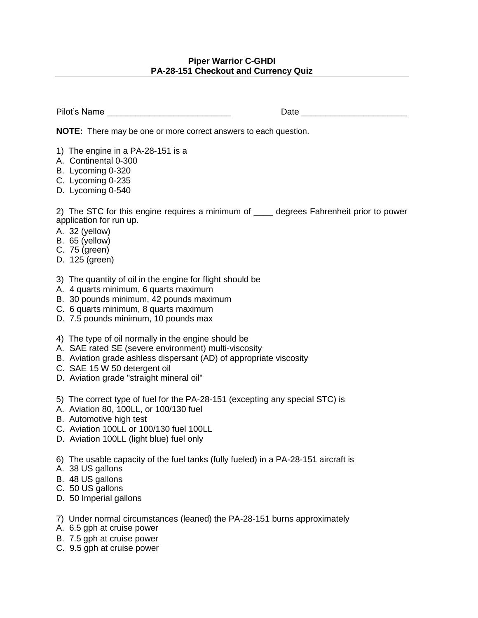## **Piper Warrior C-GHDI PA-28-151 Checkout and Currency Quiz**

Pilot's Name \_\_\_\_\_\_\_\_\_\_\_\_\_\_\_\_\_\_\_\_\_\_\_\_\_\_ Date \_\_\_\_\_\_\_\_\_\_\_\_\_\_\_\_\_\_\_\_\_\_

**NOTE:** There may be one or more correct answers to each question.

- 1) The engine in a PA-28-151 is a
- A. Continental 0-300
- B. Lycoming 0-320
- C. Lycoming 0-235
- D. Lycoming 0-540

2) The STC for this engine requires a minimum of degrees Fahrenheit prior to power application for run up.

- A. 32 (yellow)
- B. 65 (yellow)
- C. 75 (green)
- D. 125 (green)
- 3) The quantity of oil in the engine for flight should be
- A. 4 quarts minimum, 6 quarts maximum
- B. 30 pounds minimum, 42 pounds maximum
- C. 6 quarts minimum, 8 quarts maximum
- D. 7.5 pounds minimum, 10 pounds max
- 4) The type of oil normally in the engine should be
- A. SAE rated SE (severe environment) multi-viscosity
- B. Aviation grade ashless dispersant (AD) of appropriate viscosity
- C. SAE 15 W 50 detergent oil
- D. Aviation grade "straight mineral oil"
- 5) The correct type of fuel for the PA-28-151 (excepting any special STC) is
- A. Aviation 80, 100LL, or 100/130 fuel
- B. Automotive high test
- C. Aviation 100LL or 100/130 fuel 100LL
- D. Aviation 100LL (light blue) fuel only
- 6) The usable capacity of the fuel tanks (fully fueled) in a PA-28-151 aircraft is
- A. 38 US gallons
- B. 48 US gallons
- C. 50 US gallons
- D. 50 Imperial gallons
- 7) Under normal circumstances (leaned) the PA-28-151 burns approximately
- A. 6.5 gph at cruise power
- B. 7.5 gph at cruise power
- C. 9.5 gph at cruise power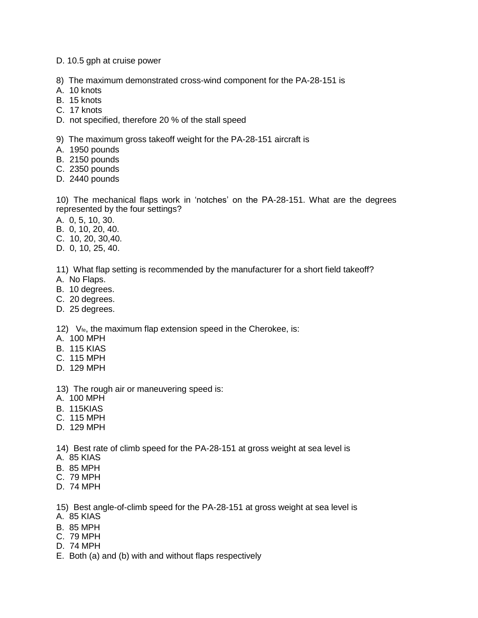D. 10.5 gph at cruise power

- 8) The maximum demonstrated cross-wind component for the PA-28-151 is
- A. 10 knots
- B. 15 knots
- C. 17 knots
- D. not specified, therefore 20 % of the stall speed

9) The maximum gross takeoff weight for the PA-28-151 aircraft is

- A. 1950 pounds
- B. 2150 pounds
- C. 2350 pounds
- D. 2440 pounds

10) The mechanical flaps work in 'notches' on the PA-28-151. What are the degrees represented by the four settings?

- A. 0, 5, 10, 30.
- B. 0, 10, 20, 40.
- C. 10, 20, 30,40.
- D. 0, 10, 25, 40.

11) What flap setting is recommended by the manufacturer for a short field takeoff?

- A. No Flaps.
- B. 10 degrees.
- C. 20 degrees.
- D. 25 degrees.

12) V<sub>fe</sub>, the maximum flap extension speed in the Cherokee, is:

- A. 100 MPH
- B. 115 KIAS
- C. 115 MPH
- D. 129 MPH
- 13) The rough air or maneuvering speed is:
- A. 100 MPH
- B. 115KIAS
- C. 115 MPH
- D. 129 MPH

14) Best rate of climb speed for the PA-28-151 at gross weight at sea level is

- A. 85 KIAS
- B. 85 MPH
- C. 79 MPH
- D. 74 MPH

15) Best angle-of-climb speed for the PA-28-151 at gross weight at sea level is

- A. 85 KIAS
- B. 85 MPH
- C. 79 MPH
- D. 74 MPH
- E. Both (a) and (b) with and without flaps respectively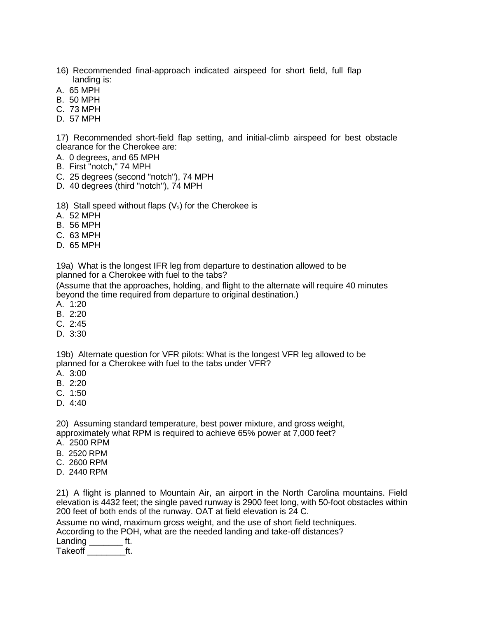- 16) Recommended final-approach indicated airspeed for short field, full flap landing is:
- A. 65 MPH
- B. 50 MPH
- C. 73 MPH
- D. 57 MPH

17) Recommended short-field flap setting, and initial-climb airspeed for best obstacle clearance for the Cherokee are:

- A. 0 degrees, and 65 MPH
- B. First "notch," 74 MPH
- C. 25 degrees (second "notch"), 74 MPH
- D. 40 degrees (third "notch"), 74 MPH

18) Stall speed without flaps  $(V<sub>s</sub>)$  for the Cherokee is

- A. 52 MPH
- B. 56 MPH
- C. 63 MPH
- D. 65 MPH

19a) What is the longest IFR leg from departure to destination allowed to be planned for a Cherokee with fuel to the tabs?

(Assume that the approaches, holding, and flight to the alternate will require 40 minutes beyond the time required from departure to original destination.)

- A. 1:20
- B. 2:20
- C. 2:45
- D. 3:30

19b) Alternate question for VFR pilots: What is the longest VFR leg allowed to be planned for a Cherokee with fuel to the tabs under VFR?

- A. 3:00
- B. 2:20
- C. 1:50
- D. 4:40

20) Assuming standard temperature, best power mixture, and gross weight, approximately what RPM is required to achieve 65% power at 7,000 feet?

- A. 2500 RPM
- B. 2520 RPM
- C. 2600 RPM
- D. 2440 RPM

21) A flight is planned to Mountain Air, an airport in the North Carolina mountains. Field elevation is 4432 feet; the single paved runway is 2900 feet long, with 50-foot obstacles within 200 feet of both ends of the runway. OAT at field elevation is 24 C.

Assume no wind, maximum gross weight, and the use of short field techniques.

According to the POH, what are the needed landing and take-off distances?

Landing \_\_\_\_\_\_\_ ft. Takeoff ft.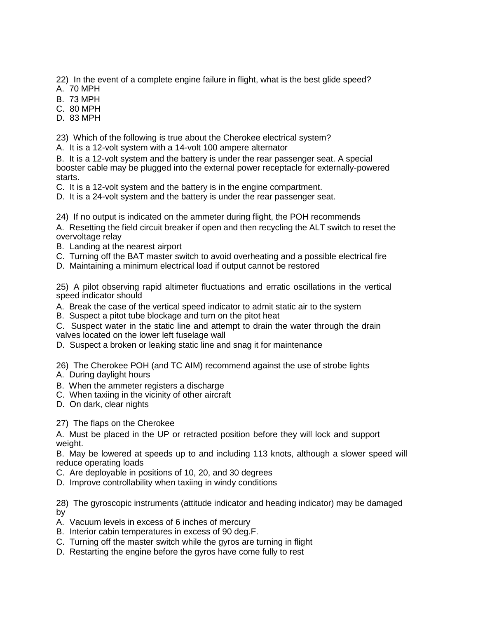22) In the event of a complete engine failure in flight, what is the best glide speed?

A. 70 MPH

B. 73 MPH

C. 80 MPH

D. 83 MPH

23) Which of the following is true about the Cherokee electrical system?

A. It is a 12-volt system with a 14-volt 100 ampere alternator

B. It is a 12-volt system and the battery is under the rear passenger seat. A special booster cable may be plugged into the external power receptacle for externally-powered starts.

C. It is a 12-volt system and the battery is in the engine compartment.

D. It is a 24-volt system and the battery is under the rear passenger seat.

24) If no output is indicated on the ammeter during flight, the POH recommends

A. Resetting the field circuit breaker if open and then recycling the ALT switch to reset the overvoltage relay

- B. Landing at the nearest airport
- C. Turning off the BAT master switch to avoid overheating and a possible electrical fire
- D. Maintaining a minimum electrical load if output cannot be restored

25) A pilot observing rapid altimeter fluctuations and erratic oscillations in the vertical speed indicator should

A. Break the case of the vertical speed indicator to admit static air to the system

B. Suspect a pitot tube blockage and turn on the pitot heat

C. Suspect water in the static line and attempt to drain the water through the drain valves located on the lower left fuselage wall

D. Suspect a broken or leaking static line and snag it for maintenance

26) The Cherokee POH (and TC AIM) recommend against the use of strobe lights

- A. During daylight hours
- B. When the ammeter registers a discharge
- C. When taxiing in the vicinity of other aircraft
- D. On dark, clear nights

27) The flaps on the Cherokee

A. Must be placed in the UP or retracted position before they will lock and support weight.

B. May be lowered at speeds up to and including 113 knots, although a slower speed will reduce operating loads

- C. Are deployable in positions of 10, 20, and 30 degrees
- D. Improve controllability when taxiing in windy conditions

28) The gyroscopic instruments (attitude indicator and heading indicator) may be damaged by

- A. Vacuum levels in excess of 6 inches of mercury
- B. Interior cabin temperatures in excess of 90 deg.F.
- C. Turning off the master switch while the gyros are turning in flight
- D. Restarting the engine before the gyros have come fully to rest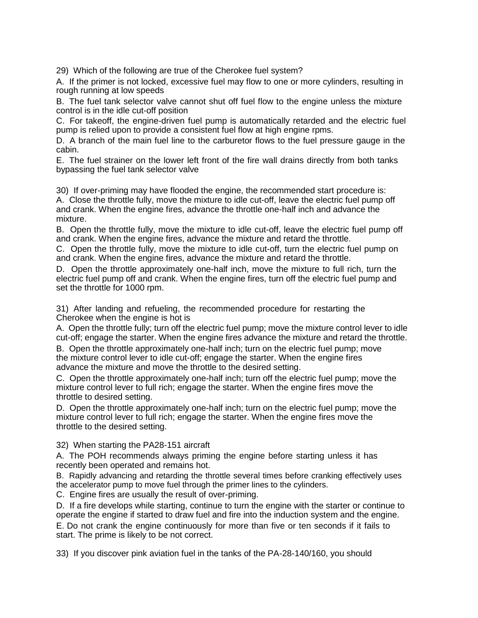29) Which of the following are true of the Cherokee fuel system?

A. If the primer is not locked, excessive fuel may flow to one or more cylinders, resulting in rough running at low speeds

B. The fuel tank selector valve cannot shut off fuel flow to the engine unless the mixture control is in the idle cut-off position

C. For takeoff, the engine-driven fuel pump is automatically retarded and the electric fuel pump is relied upon to provide a consistent fuel flow at high engine rpms.

D. A branch of the main fuel line to the carburetor flows to the fuel pressure gauge in the cabin.

E. The fuel strainer on the lower left front of the fire wall drains directly from both tanks bypassing the fuel tank selector valve

30) If over-priming may have flooded the engine, the recommended start procedure is: A. Close the throttle fully, move the mixture to idle cut-off, leave the electric fuel pump off and crank. When the engine fires, advance the throttle one-half inch and advance the mixture.

B. Open the throttle fully, move the mixture to idle cut-off, leave the electric fuel pump off and crank. When the engine fires, advance the mixture and retard the throttle.

C. Open the throttle fully, move the mixture to idle cut-off, turn the electric fuel pump on and crank. When the engine fires, advance the mixture and retard the throttle.

D. Open the throttle approximately one-half inch, move the mixture to full rich, turn the electric fuel pump off and crank. When the engine fires, turn off the electric fuel pump and set the throttle for 1000 rpm.

31) After landing and refueling, the recommended procedure for restarting the Cherokee when the engine is hot is

A. Open the throttle fully; turn off the electric fuel pump; move the mixture control lever to idle cut-off; engage the starter. When the engine fires advance the mixture and retard the throttle.

B. Open the throttle approximately one-half inch; turn on the electric fuel pump; move the mixture control lever to idle cut-off; engage the starter. When the engine fires advance the mixture and move the throttle to the desired setting.

C. Open the throttle approximately one-half inch; turn off the electric fuel pump; move the mixture control lever to full rich; engage the starter. When the engine fires move the throttle to desired setting.

D. Open the throttle approximately one-half inch; turn on the electric fuel pump; move the mixture control lever to full rich; engage the starter. When the engine fires move the throttle to the desired setting.

32) When starting the PA28-151 aircraft

A. The POH recommends always priming the engine before starting unless it has recently been operated and remains hot.

B. Rapidly advancing and retarding the throttle several times before cranking effectively uses the accelerator pump to move fuel through the primer lines to the cylinders.

C. Engine fires are usually the result of over-priming.

D. If a fire develops while starting, continue to turn the engine with the starter or continue to operate the engine if started to draw fuel and fire into the induction system and the engine. E. Do not crank the engine continuously for more than five or ten seconds if it fails to start. The prime is likely to be not correct.

33) If you discover pink aviation fuel in the tanks of the PA-28-140/160, you should